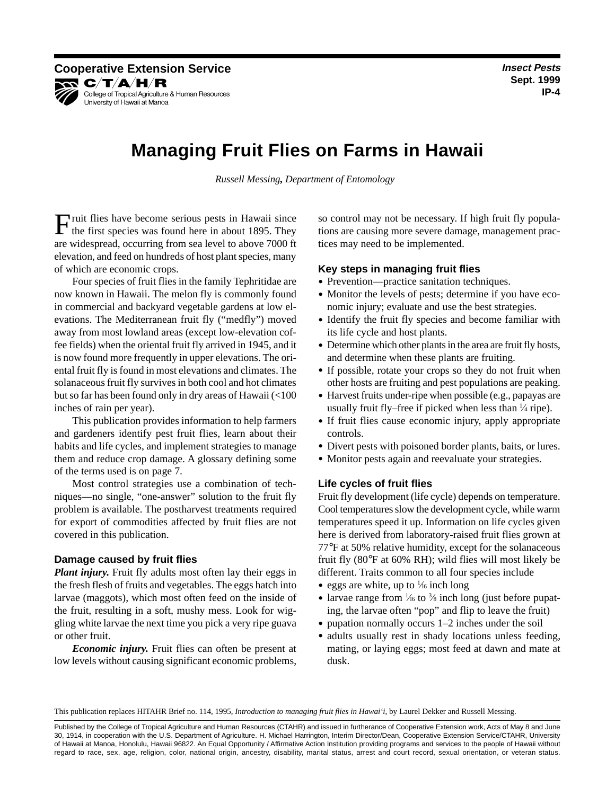# **Managing Fruit Flies on Farms in Hawaii**

*Russell Messing, Department of Entomology*

Fruit flies have become serious pests in Hawaii since the first species was found here in about 1895. They are widespread, occurring from sea level to above 7000 ft elevation, and feed on hundreds of host plant species, many of which are economic crops.

Four species of fruit flies in the family Tephritidae are now known in Hawaii. The melon fly is commonly found in commercial and backyard vegetable gardens at low elevations. The Mediterranean fruit fly ("medfly") moved away from most lowland areas (except low-elevation coffee fields) when the oriental fruit fly arrived in 1945, and it is now found more frequently in upper elevations. The oriental fruit fly is found in most elevations and climates. The solanaceous fruit fly survives in both cool and hot climates but so far has been found only in dry areas of Hawaii (<100 inches of rain per year).

This publication provides information to help farmers and gardeners identify pest fruit flies, learn about their habits and life cycles, and implement strategies to manage them and reduce crop damage. A glossary defining some of the terms used is on page 7.

Most control strategies use a combination of techniques—no single, "one-answer" solution to the fruit fly problem is available. The postharvest treatments required for export of commodities affected by fruit flies are not covered in this publication.

# **Damage caused by fruit flies**

*Plant injury.* Fruit fly adults most often lay their eggs in the fresh flesh of fruits and vegetables. The eggs hatch into larvae (maggots), which most often feed on the inside of the fruit, resulting in a soft, mushy mess. Look for wiggling white larvae the next time you pick a very ripe guava or other fruit.

*Economic injury.* Fruit flies can often be present at low levels without causing significant economic problems,

so control may not be necessary. If high fruit fly populations are causing more severe damage, management practices may need to be implemented.

# **Key steps in managing fruit flies**

- Prevention—practice sanitation techniques.
- Monitor the levels of pests; determine if you have economic injury; evaluate and use the best strategies.
- Identify the fruit fly species and become familiar with its life cycle and host plants.
- Determine which other plants in the area are fruit fly hosts, and determine when these plants are fruiting.
- If possible, rotate your crops so they do not fruit when other hosts are fruiting and pest populations are peaking.
- Harvest fruits under-ripe when possible (e.g., papayas are usually fruit fly–free if picked when less than 1 ⁄4 ripe).
- If fruit flies cause economic injury, apply appropriate controls.
- Divert pests with poisoned border plants, baits, or lures.
- Monitor pests again and reevaluate your strategies.

# **Life cycles of fruit flies**

Fruit fly development (life cycle) depends on temperature. Cool temperatures slow the development cycle, while warm temperatures speed it up. Information on life cycles given here is derived from laboratory-raised fruit flies grown at 77°F at 50% relative humidity, except for the solanaceous fruit fly (80°F at 60% RH); wild flies will most likely be different. Traits common to all four species include

- eggs are white, up to  $\frac{1}{6}$  inch long
- larvae range from 1/16 to 3/8 inch long (just before pupating, the larvae often "pop" and flip to leave the fruit)
- pupation normally occurs 1–2 inches under the soil
- adults usually rest in shady locations unless feeding, mating, or laying eggs; most feed at dawn and mate at dusk.

This publication replaces HITAHR Brief no. 114, 1995, *Introduction to managing fruit flies in Hawai'i*, by Laurel Dekker and Russell Messing.

Published by the College of Tropical Agriculture and Human Resources (CTAHR) and issued in furtherance of Cooperative Extension work, Acts of May 8 and June 30, 1914, in cooperation with the U.S. Department of Agriculture. H. Michael Harrington, Interim Director/Dean, Cooperative Extension Service/CTAHR, University of Hawaii at Manoa, Honolulu, Hawaii 96822. An Equal Opportunity / Affirmative Action Institution providing programs and services to the people of Hawaii without regard to race, sex, age, religion, color, national origin, ancestry, disability, marital status, arrest and court record, sexual orientation, or veteran status.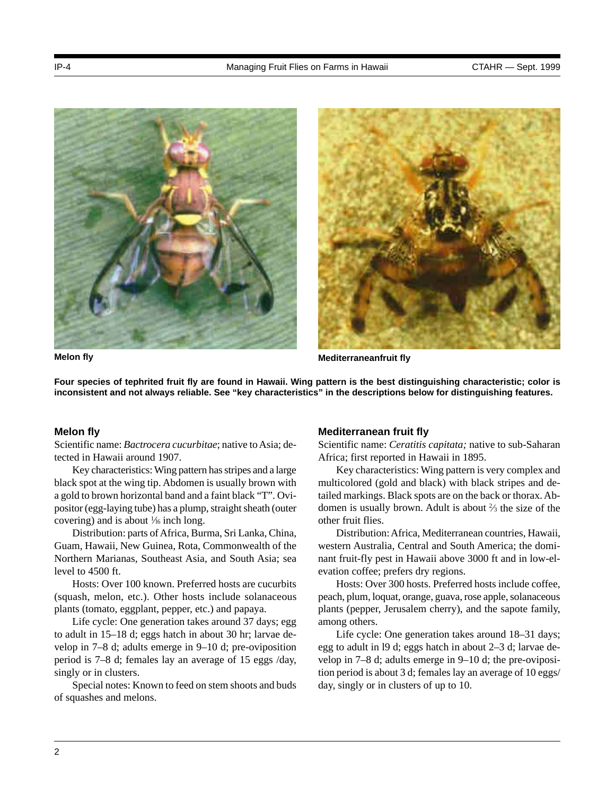



**Melon fly Mediterraneanfruit fly**

**Four species of tephrited fruit fly are found in Hawaii. Wing pattern is the best distinguishing characteristic; color is inconsistent and not always reliable. See "key characteristics" in the descriptions below for distinguishing features.**

# **Melon fly**

Scientific name: *Bactrocera cucurbitae*; native to Asia; detected in Hawaii around 1907.

Key characteristics: Wing pattern has stripes and a large black spot at the wing tip. Abdomen is usually brown with a gold to brown horizontal band and a faint black "T". Ovipositor (egg-laying tube) has a plump, straight sheath (outer covering) and is about  $\frac{1}{6}$  inch long.

Distribution: parts of Africa, Burma, Sri Lanka, China, Guam, Hawaii, New Guinea, Rota, Commonwealth of the Northern Marianas, Southeast Asia, and South Asia; sea level to 4500 ft.

Hosts: Over 100 known. Preferred hosts are cucurbits (squash, melon, etc.). Other hosts include solanaceous plants (tomato, eggplant, pepper, etc.) and papaya.

Life cycle: One generation takes around 37 days; egg to adult in 15–18 d; eggs hatch in about 30 hr; larvae develop in 7–8 d; adults emerge in 9–10 d; pre-oviposition period is 7–8 d; females lay an average of 15 eggs /day, singly or in clusters.

Special notes: Known to feed on stem shoots and buds of squashes and melons.

## **Mediterranean fruit fly**

Scientific name: *Ceratitis capitata;* native to sub-Saharan Africa; first reported in Hawaii in 1895.

Key characteristics: Wing pattern is very complex and multicolored (gold and black) with black stripes and detailed markings. Black spots are on the back or thorax. Abdomen is usually brown. Adult is about  $\frac{2}{3}$  the size of the other fruit flies.

Distribution: Africa, Mediterranean countries, Hawaii, western Australia, Central and South America; the dominant fruit-fly pest in Hawaii above 3000 ft and in low-elevation coffee; prefers dry regions.

Hosts: Over 300 hosts. Preferred hosts include coffee, peach, plum, loquat, orange, guava, rose apple, solanaceous plants (pepper, Jerusalem cherry), and the sapote family, among others.

Life cycle: One generation takes around 18–31 days; egg to adult in l9 d; eggs hatch in about 2–3 d; larvae develop in 7–8 d; adults emerge in 9–10 d; the pre-oviposition period is about 3 d; females lay an average of 10 eggs/ day, singly or in clusters of up to 10.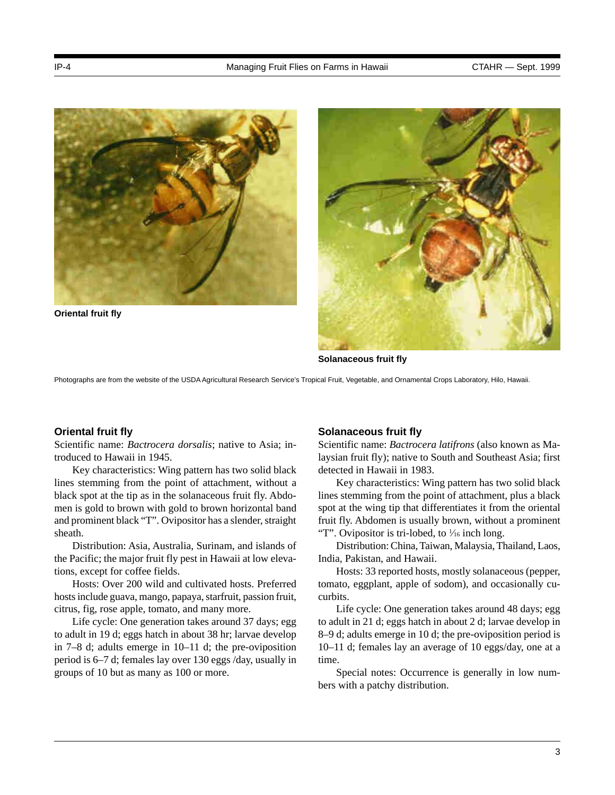

**Oriental fruit fly**



**Solanaceous fruit fly**

Photographs are from the website of the USDA Agricultural Research Service's Tropical Fruit, Vegetable, and Ornamental Crops Laboratory, Hilo, Hawaii.

## **Oriental fruit fly**

Scientific name: *Bactrocera dorsalis*; native to Asia; introduced to Hawaii in 1945.

Key characteristics: Wing pattern has two solid black lines stemming from the point of attachment, without a black spot at the tip as in the solanaceous fruit fly. Abdomen is gold to brown with gold to brown horizontal band and prominent black "T". Ovipositor has a slender, straight sheath.

Distribution: Asia, Australia, Surinam, and islands of the Pacific; the major fruit fly pest in Hawaii at low elevations, except for coffee fields.

Hosts: Over 200 wild and cultivated hosts. Preferred hosts include guava, mango, papaya, starfruit, passion fruit, citrus, fig, rose apple, tomato, and many more.

Life cycle: One generation takes around 37 days; egg to adult in 19 d; eggs hatch in about 38 hr; larvae develop in 7–8 d; adults emerge in 10–11 d; the pre-oviposition period is 6–7 d; females lay over 130 eggs /day, usually in groups of 10 but as many as 100 or more.

## **Solanaceous fruit fly**

Scientific name: *Bactrocera latifrons* (also known as Malaysian fruit fly); native to South and Southeast Asia; first detected in Hawaii in 1983.

Key characteristics: Wing pattern has two solid black lines stemming from the point of attachment, plus a black spot at the wing tip that differentiates it from the oriental fruit fly. Abdomen is usually brown, without a prominent "T". Ovipositor is tri-lobed, to  $\frac{1}{16}$  inch long.

Distribution: China, Taiwan, Malaysia, Thailand, Laos, India, Pakistan, and Hawaii.

Hosts: 33 reported hosts, mostly solanaceous (pepper, tomato, eggplant, apple of sodom), and occasionally cucurbits.

Life cycle: One generation takes around 48 days; egg to adult in 21 d; eggs hatch in about 2 d; larvae develop in 8–9 d; adults emerge in 10 d; the pre-oviposition period is 10–11 d; females lay an average of 10 eggs/day, one at a time.

Special notes: Occurrence is generally in low numbers with a patchy distribution.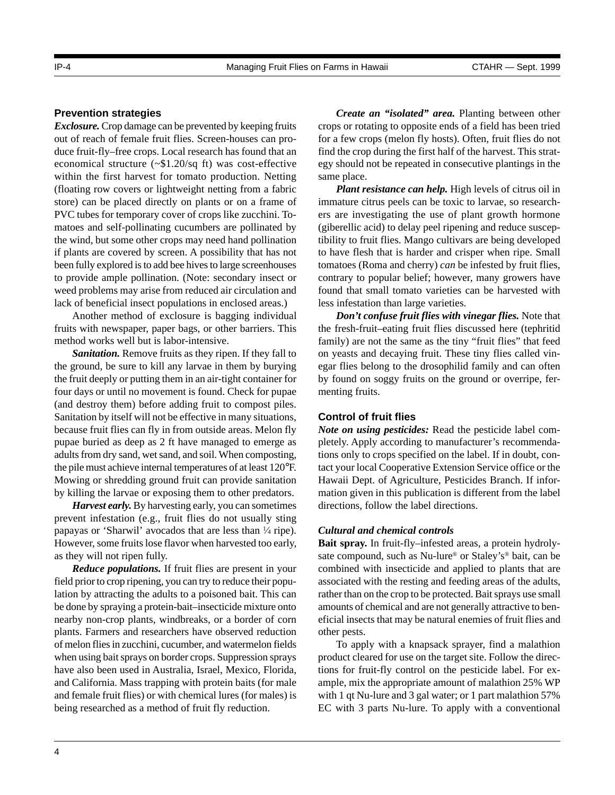# **Prevention strategies**

*Exclosure.* Crop damage can be prevented by keeping fruits out of reach of female fruit flies. Screen-houses can produce fruit-fly–free crops. Local research has found that an economical structure (~\$1.20/sq ft) was cost-effective within the first harvest for tomato production. Netting (floating row covers or lightweight netting from a fabric store) can be placed directly on plants or on a frame of PVC tubes for temporary cover of crops like zucchini. Tomatoes and self-pollinating cucumbers are pollinated by the wind, but some other crops may need hand pollination if plants are covered by screen. A possibility that has not been fully explored is to add bee hives to large screenhouses to provide ample pollination. (Note: secondary insect or weed problems may arise from reduced air circulation and lack of beneficial insect populations in enclosed areas.)

Another method of exclosure is bagging individual fruits with newspaper, paper bags, or other barriers. This method works well but is labor-intensive.

*Sanitation.* Remove fruits as they ripen. If they fall to the ground, be sure to kill any larvae in them by burying the fruit deeply or putting them in an air-tight container for four days or until no movement is found. Check for pupae (and destroy them) before adding fruit to compost piles. Sanitation by itself will not be effective in many situations, because fruit flies can fly in from outside areas. Melon fly pupae buried as deep as 2 ft have managed to emerge as adults from dry sand, wet sand, and soil. When composting, the pile must achieve internal temperatures of at least 120°F. Mowing or shredding ground fruit can provide sanitation by killing the larvae or exposing them to other predators.

*Harvest early.* By harvesting early, you can sometimes prevent infestation (e.g., fruit flies do not usually sting papayas or 'Sharwil' avocados that are less than 1 ⁄4 ripe). However, some fruits lose flavor when harvested too early, as they will not ripen fully.

*Reduce populations.* If fruit flies are present in your field prior to crop ripening, you can try to reduce their population by attracting the adults to a poisoned bait. This can be done by spraying a protein-bait–insecticide mixture onto nearby non-crop plants, windbreaks, or a border of corn plants. Farmers and researchers have observed reduction of melon flies in zucchini, cucumber, and watermelon fields when using bait sprays on border crops. Suppression sprays have also been used in Australia, Israel, Mexico, Florida, and California. Mass trapping with protein baits (for male and female fruit flies) or with chemical lures (for males) is being researched as a method of fruit fly reduction.

*Create an "isolated" area.* Planting between other crops or rotating to opposite ends of a field has been tried for a few crops (melon fly hosts). Often, fruit flies do not find the crop during the first half of the harvest. This strategy should not be repeated in consecutive plantings in the same place.

*Plant resistance can help.* High levels of citrus oil in immature citrus peels can be toxic to larvae, so researchers are investigating the use of plant growth hormone (giberellic acid) to delay peel ripening and reduce susceptibility to fruit flies. Mango cultivars are being developed to have flesh that is harder and crisper when ripe. Small tomatoes (Roma and cherry) *can* be infested by fruit flies, contrary to popular belief; however, many growers have found that small tomato varieties can be harvested with less infestation than large varieties.

*Don't confuse fruit flies with vinegar flies.* Note that the fresh-fruit–eating fruit flies discussed here (tephritid family) are not the same as the tiny "fruit flies" that feed on yeasts and decaying fruit. These tiny flies called vinegar flies belong to the drosophilid family and can often by found on soggy fruits on the ground or overripe, fermenting fruits.

# **Control of fruit flies**

*Note on using pesticides:* Read the pesticide label completely. Apply according to manufacturer's recommendations only to crops specified on the label. If in doubt, contact your local Cooperative Extension Service office or the Hawaii Dept. of Agriculture, Pesticides Branch. If information given in this publication is different from the label directions, follow the label directions.

# *Cultural and chemical controls*

**Bait spray.** In fruit-fly–infested areas, a protein hydrolysate compound, such as Nu-lure® or Staley's® bait, can be combined with insecticide and applied to plants that are associated with the resting and feeding areas of the adults, rather than on the crop to be protected. Bait sprays use small amounts of chemical and are not generally attractive to beneficial insects that may be natural enemies of fruit flies and other pests.

To apply with a knapsack sprayer, find a malathion product cleared for use on the target site. Follow the directions for fruit-fly control on the pesticide label. For example, mix the appropriate amount of malathion 25% WP with 1 qt Nu-lure and 3 gal water; or 1 part malathion 57% EC with 3 parts Nu-lure. To apply with a conventional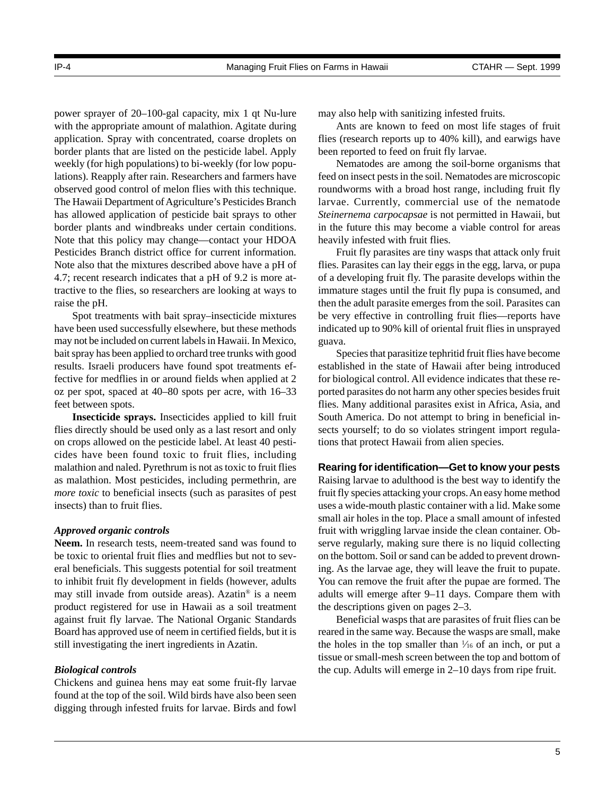power sprayer of 20–100-gal capacity, mix 1 qt Nu-lure with the appropriate amount of malathion. Agitate during application. Spray with concentrated, coarse droplets on border plants that are listed on the pesticide label. Apply weekly (for high populations) to bi-weekly (for low populations). Reapply after rain. Researchers and farmers have observed good control of melon flies with this technique. The Hawaii Department of Agriculture's Pesticides Branch has allowed application of pesticide bait sprays to other border plants and windbreaks under certain conditions. Note that this policy may change—contact your HDOA Pesticides Branch district office for current information. Note also that the mixtures described above have a pH of 4.7; recent research indicates that a pH of 9.2 is more attractive to the flies, so researchers are looking at ways to raise the pH.

Spot treatments with bait spray–insecticide mixtures have been used successfully elsewhere, but these methods may not be included on current labels in Hawaii. In Mexico, bait spray has been applied to orchard tree trunks with good results. Israeli producers have found spot treatments effective for medflies in or around fields when applied at 2 oz per spot, spaced at 40–80 spots per acre, with 16–33 feet between spots.

**Insecticide sprays.** Insecticides applied to kill fruit flies directly should be used only as a last resort and only on crops allowed on the pesticide label. At least 40 pesticides have been found toxic to fruit flies, including malathion and naled. Pyrethrum is not as toxic to fruit flies as malathion. Most pesticides, including permethrin, are *more toxic* to beneficial insects (such as parasites of pest insects) than to fruit flies.

# *Approved organic controls*

**Neem.** In research tests, neem-treated sand was found to be toxic to oriental fruit flies and medflies but not to several beneficials. This suggests potential for soil treatment to inhibit fruit fly development in fields (however, adults may still invade from outside areas). Azatin® is a neem product registered for use in Hawaii as a soil treatment against fruit fly larvae. The National Organic Standards Board has approved use of neem in certified fields, but it is still investigating the inert ingredients in Azatin.

#### *Biological controls*

Chickens and guinea hens may eat some fruit-fly larvae found at the top of the soil. Wild birds have also been seen digging through infested fruits for larvae. Birds and fowl may also help with sanitizing infested fruits.

Ants are known to feed on most life stages of fruit flies (research reports up to 40% kill), and earwigs have been reported to feed on fruit fly larvae.

Nematodes are among the soil-borne organisms that feed on insect pests in the soil. Nematodes are microscopic roundworms with a broad host range, including fruit fly larvae. Currently, commercial use of the nematode *Steinernema carpocapsae* is not permitted in Hawaii, but in the future this may become a viable control for areas heavily infested with fruit flies.

Fruit fly parasites are tiny wasps that attack only fruit flies. Parasites can lay their eggs in the egg, larva, or pupa of a developing fruit fly. The parasite develops within the immature stages until the fruit fly pupa is consumed, and then the adult parasite emerges from the soil. Parasites can be very effective in controlling fruit flies—reports have indicated up to 90% kill of oriental fruit flies in unsprayed guava.

Species that parasitize tephritid fruit flies have become established in the state of Hawaii after being introduced for biological control. All evidence indicates that these reported parasites do not harm any other species besides fruit flies. Many additional parasites exist in Africa, Asia, and South America. Do not attempt to bring in beneficial insects yourself; to do so violates stringent import regulations that protect Hawaii from alien species.

#### **Rearing for identification—Get to know your pests**

Raising larvae to adulthood is the best way to identify the fruit fly species attacking your crops. An easy home method uses a wide-mouth plastic container with a lid. Make some small air holes in the top. Place a small amount of infested fruit with wriggling larvae inside the clean container. Observe regularly, making sure there is no liquid collecting on the bottom. Soil or sand can be added to prevent drowning. As the larvae age, they will leave the fruit to pupate. You can remove the fruit after the pupae are formed. The adults will emerge after 9–11 days. Compare them with the descriptions given on pages 2–3.

Beneficial wasps that are parasites of fruit flies can be reared in the same way. Because the wasps are small, make the holes in the top smaller than  $\frac{1}{16}$  of an inch, or put a tissue or small-mesh screen between the top and bottom of the cup. Adults will emerge in 2–10 days from ripe fruit.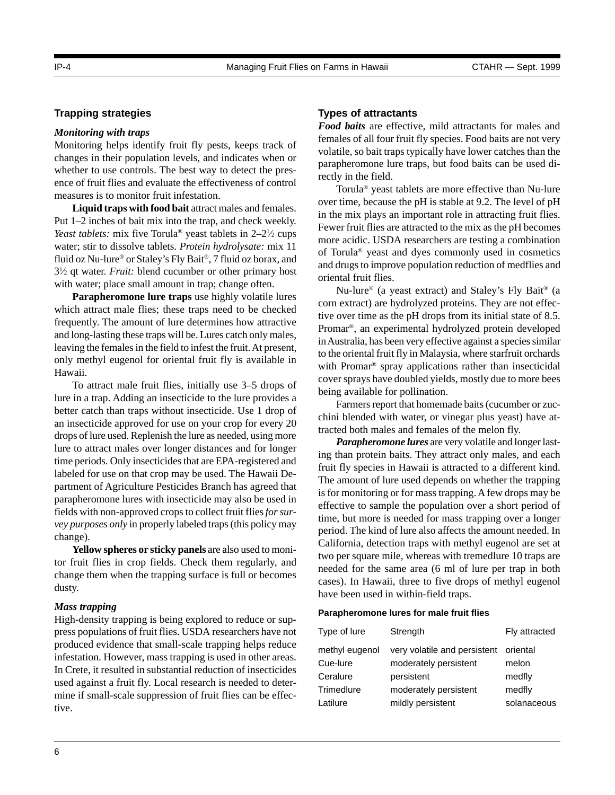changes in their population levels, and indicates when or whether to use controls. The best way to detect the presence of fruit flies and evaluate the effectiveness of control measures is to monitor fruit infestation.

Monitoring helps identify fruit fly pests, keeps track of

**Liquid traps with food bait** attract males and females. Put 1–2 inches of bait mix into the trap, and check weekly. *Yeast tablets:* mix five Torula<sup>®</sup> yeast tablets in  $2-2\frac{1}{2}$  cups water; stir to dissolve tablets. *Protein hydrolysate:* mix 11 fluid oz Nu-lure® or Staley's Fly Bait®, 7 fluid oz borax, and 31 ⁄2 qt water. *Fruit:* blend cucumber or other primary host with water; place small amount in trap; change often.

**Parapheromone lure traps** use highly volatile lures which attract male flies; these traps need to be checked frequently. The amount of lure determines how attractive and long-lasting these traps will be. Lures catch only males, leaving the females in the field to infest the fruit. At present, only methyl eugenol for oriental fruit fly is available in Hawaii.

To attract male fruit flies, initially use 3–5 drops of lure in a trap. Adding an insecticide to the lure provides a better catch than traps without insecticide. Use 1 drop of an insecticide approved for use on your crop for every 20 drops of lure used. Replenish the lure as needed, using more lure to attract males over longer distances and for longer time periods. Only insecticides that are EPA-registered and labeled for use on that crop may be used. The Hawaii Department of Agriculture Pesticides Branch has agreed that parapheromone lures with insecticide may also be used in fields with non-approved crops to collect fruit flies *for survey purposes only* in properly labeled traps (this policy may change).

**Yellow spheres or sticky panels** are also used to monitor fruit flies in crop fields. Check them regularly, and change them when the trapping surface is full or becomes dusty.

#### *Mass trapping*

High-density trapping is being explored to reduce or suppress populations of fruit flies. USDA researchers have not produced evidence that small-scale trapping helps reduce infestation. However, mass trapping is used in other areas. In Crete, it resulted in substantial reduction of insecticides used against a fruit fly. Local research is needed to determine if small-scale suppression of fruit flies can be effective.

#### **Types of attractants**

*Food baits* are effective, mild attractants for males and females of all four fruit fly species. Food baits are not very volatile, so bait traps typically have lower catches than the parapheromone lure traps, but food baits can be used directly in the field.

Torula® yeast tablets are more effective than Nu-lure over time, because the pH is stable at 9.2. The level of pH in the mix plays an important role in attracting fruit flies. Fewer fruit flies are attracted to the mix as the pH becomes more acidic. USDA researchers are testing a combination of Torula® yeast and dyes commonly used in cosmetics and drugs to improve population reduction of medflies and oriental fruit flies.

Nu-lure® (a yeast extract) and Staley's Fly Bait® (a corn extract) are hydrolyzed proteins. They are not effective over time as the pH drops from its initial state of 8.5. Promar®, an experimental hydrolyzed protein developed in Australia, has been very effective against a species similar to the oriental fruit fly in Malaysia, where starfruit orchards with Promar<sup>®</sup> spray applications rather than insecticidal cover sprays have doubled yields, mostly due to more bees being available for pollination.

Farmers report that homemade baits (cucumber or zucchini blended with water, or vinegar plus yeast) have attracted both males and females of the melon fly.

*Parapheromone lures* are very volatile and longer lasting than protein baits. They attract only males, and each fruit fly species in Hawaii is attracted to a different kind. The amount of lure used depends on whether the trapping is for monitoring or for mass trapping. A few drops may be effective to sample the population over a short period of time, but more is needed for mass trapping over a longer period. The kind of lure also affects the amount needed. In California, detection traps with methyl eugenol are set at two per square mile, whereas with tremedlure 10 traps are needed for the same area (6 ml of lure per trap in both cases). In Hawaii, three to five drops of methyl eugenol have been used in within-field traps.

#### **Parapheromone lures for male fruit flies**

| Type of lure   | Strength                              | Fly attracted |
|----------------|---------------------------------------|---------------|
| methyl eugenol | very volatile and persistent oriental |               |
| Cue-lure       | moderately persistent                 | melon         |
| Ceralure       | persistent                            | medfly        |
| Trimedlure     | moderately persistent                 | medfly        |
| Latilure       | mildly persistent                     | solanaceous   |
|                |                                       |               |

**Trapping strategies** *Monitoring with traps*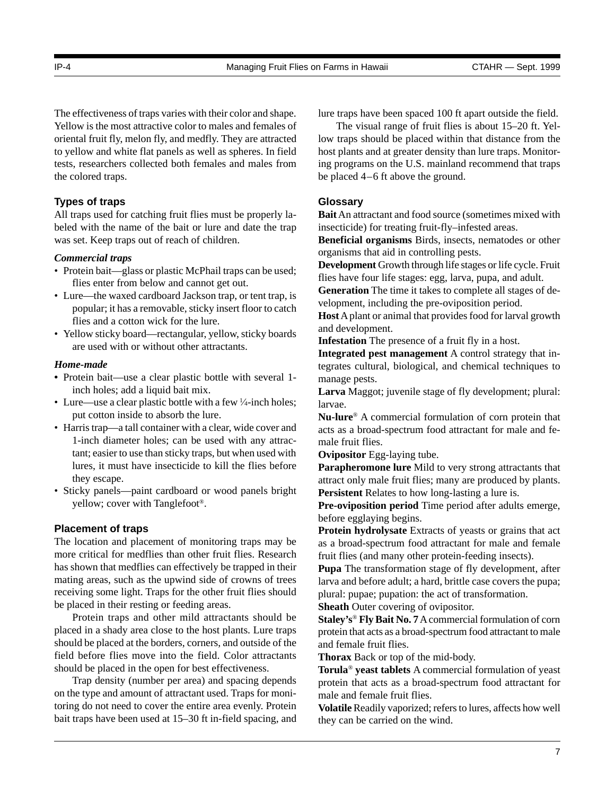The effectiveness of traps varies with their color and shape. Yellow is the most attractive color to males and females of oriental fruit fly, melon fly, and medfly. They are attracted to yellow and white flat panels as well as spheres. In field tests, researchers collected both females and males from the colored traps.

# **Types of traps**

All traps used for catching fruit flies must be properly labeled with the name of the bait or lure and date the trap was set. Keep traps out of reach of children.

# *Commercial traps*

- Protein bait—glass or plastic McPhail traps can be used; flies enter from below and cannot get out.
- Lure—the waxed cardboard Jackson trap, or tent trap, is popular; it has a removable, sticky insert floor to catch flies and a cotton wick for the lure.
- Yellow sticky board—rectangular, yellow, sticky boards are used with or without other attractants.

# *Home-made*

- **•** Protein bait—use a clear plastic bottle with several 1 inch holes; add a liquid bait mix.
- Lure—use a clear plastic bottle with a few  $\frac{1}{4}$ -inch holes; put cotton inside to absorb the lure.
- Harris trap—a tall container with a clear, wide cover and 1-inch diameter holes; can be used with any attractant; easier to use than sticky traps, but when used with lures, it must have insecticide to kill the flies before they escape.
- Sticky panels—paint cardboard or wood panels bright yellow; cover with Tanglefoot®.

# **Placement of traps**

The location and placement of monitoring traps may be more critical for medflies than other fruit flies. Research has shown that medflies can effectively be trapped in their mating areas, such as the upwind side of crowns of trees receiving some light. Traps for the other fruit flies should be placed in their resting or feeding areas.

Protein traps and other mild attractants should be placed in a shady area close to the host plants. Lure traps should be placed at the borders, corners, and outside of the field before flies move into the field. Color attractants should be placed in the open for best effectiveness.

Trap density (number per area) and spacing depends on the type and amount of attractant used. Traps for monitoring do not need to cover the entire area evenly. Protein bait traps have been used at 15–30 ft in-field spacing, and lure traps have been spaced 100 ft apart outside the field.

The visual range of fruit flies is about 15–20 ft. Yellow traps should be placed within that distance from the host plants and at greater density than lure traps. Monitoring programs on the U.S. mainland recommend that traps be placed 4–6 ft above the ground.

# **Glossary**

**Bait** An attractant and food source (sometimes mixed with insecticide) for treating fruit-fly–infested areas.

**Beneficial organisms** Birds, insects, nematodes or other organisms that aid in controlling pests.

**Development** Growth through life stages or life cycle. Fruit flies have four life stages: egg, larva, pupa, and adult.

**Generation** The time it takes to complete all stages of development, including the pre-oviposition period.

**Host** A plant or animal that provides food for larval growth and development.

**Infestation** The presence of a fruit fly in a host.

**Integrated pest management** A control strategy that integrates cultural, biological, and chemical techniques to manage pests.

**Larva** Maggot; juvenile stage of fly development; plural: larvae.

**Nu-lure**® A commercial formulation of corn protein that acts as a broad-spectrum food attractant for male and female fruit flies.

**Ovipositor** Egg-laying tube.

**Parapheromone lure** Mild to very strong attractants that attract only male fruit flies; many are produced by plants. **Persistent** Relates to how long-lasting a lure is.

**Pre-oviposition period** Time period after adults emerge, before egglaying begins.

**Protein hydrolysate** Extracts of yeasts or grains that act as a broad-spectrum food attractant for male and female fruit flies (and many other protein-feeding insects).

**Pupa** The transformation stage of fly development, after larva and before adult; a hard, brittle case covers the pupa; plural: pupae; pupation: the act of transformation.

**Sheath Outer covering of ovipositor.** 

**Staley's**® **Fly Bait No. 7** A commercial formulation of corn protein that acts as a broad-spectrum food attractant to male and female fruit flies.

**Thorax** Back or top of the mid-body.

**Torula**® **yeast tablets** A commercial formulation of yeast protein that acts as a broad-spectrum food attractant for male and female fruit flies.

**Volatile** Readily vaporized; refers to lures, affects how well they can be carried on the wind.